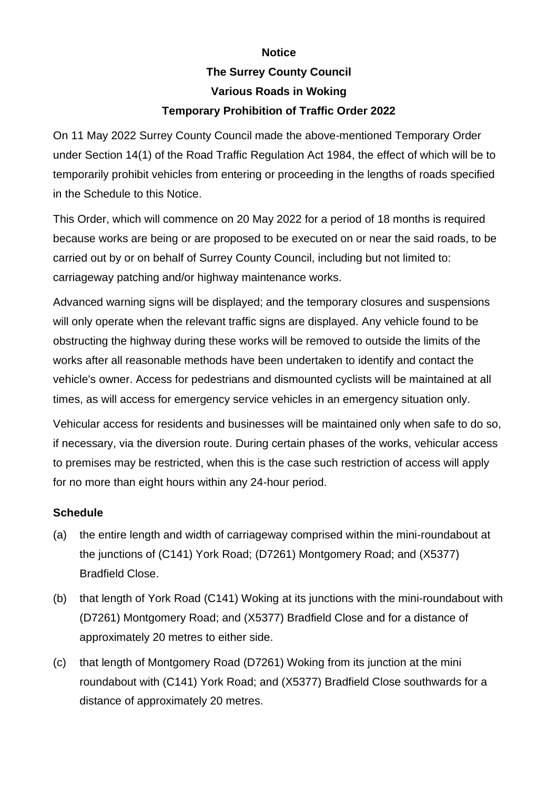## **Notice The Surrey County Council Various Roads in Woking Temporary Prohibition of Traffic Order 2022**

On 11 May 2022 Surrey County Council made the above-mentioned Temporary Order under Section 14(1) of the Road Traffic Regulation Act 1984, the effect of which will be to temporarily prohibit vehicles from entering or proceeding in the lengths of roads specified in the Schedule to this Notice.

This Order, which will commence on 20 May 2022 for a period of 18 months is required because works are being or are proposed to be executed on or near the said roads, to be carried out by or on behalf of Surrey County Council, including but not limited to: carriageway patching and/or highway maintenance works.

Advanced warning signs will be displayed; and the temporary closures and suspensions will only operate when the relevant traffic signs are displayed. Any vehicle found to be obstructing the highway during these works will be removed to outside the limits of the works after all reasonable methods have been undertaken to identify and contact the vehicle's owner. Access for pedestrians and dismounted cyclists will be maintained at all times, as will access for emergency service vehicles in an emergency situation only.

Vehicular access for residents and businesses will be maintained only when safe to do so, if necessary, via the diversion route. During certain phases of the works, vehicular access to premises may be restricted, when this is the case such restriction of access will apply for no more than eight hours within any 24-hour period.

## **Schedule**

- (a) the entire length and width of carriageway comprised within the mini-roundabout at the junctions of (C141) York Road; (D7261) Montgomery Road; and (X5377) Bradfield Close.
- (b) that length of York Road (C141) Woking at its junctions with the mini-roundabout with (D7261) Montgomery Road; and (X5377) Bradfield Close and for a distance of approximately 20 metres to either side.
- (c) that length of Montgomery Road (D7261) Woking from its junction at the mini roundabout with (C141) York Road; and (X5377) Bradfield Close southwards for a distance of approximately 20 metres.